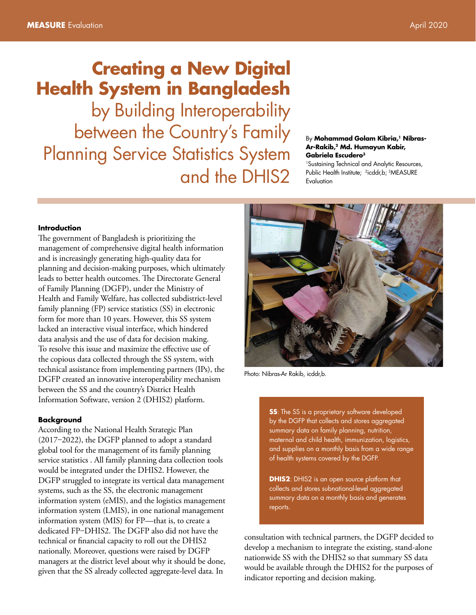# **Creating a New Digital Health System in Bangladesh**

by Building Interoperability between the Country's Family Planning Service Statistics System and the DHIS2

#### By **Mohammad Golam Kibria,1 Nibras-Ar-Rakib,2 Md. Humayun Kabir, Gabriela Escudero3**

<sup>1</sup>Sustaining Technical and Analytic Resources, Public Health Institute; <sup>2</sup>icddr, b; <sup>3</sup>MEASURE **Evaluation** 

### **Introduction**

The government of Bangladesh is prioritizing the management of comprehensive digital health information and is increasingly generating high-quality data for planning and decision-making purposes, which ultimately leads to better health outcomes. The Directorate General of Family Planning (DGFP), under the Ministry of Health and Family Welfare, has collected subdistrict-level family planning (FP) service statistics (SS) in electronic form for more than 10 years. However, this SS system lacked an interactive visual interface, which hindered data analysis and the use of data for decision making. To resolve this issue and maximize the effective use of the copious data collected through the SS system, with technical assistance from implementing partners (IPs), the DGFP created an innovative interoperability mechanism between the SS and the country's District Health Information Software, version 2 (DHIS2) platform.

#### **Background**

According to the National Health Strategic Plan  $(2017-2022)$ , the DGFP planned to adopt a standard global tool for the management of its family planning service statistics . All family planning data collection tools would be integrated under the DHIS2. However, the DGFP struggled to integrate its vertical data management systems, such as the SS, the electronic management information system (eMIS), and the logistics management information system (LMIS), in one national management information system (MIS) for FP—that is, to create a dedicated FP-DHIS2. The DGFP also did not have the technical or financial capacity to roll out the DHIS2 nationally. Moreover, questions were raised by DGFP managers at the district level about why it should be done, given that the SS already collected aggregate-level data. In



Photo: Nibras-Ar Rakib, icddr,b.

**SS**: The SS is a proprietary software developed by the DGFP that collects and stores aggregated summary data on family planning, nutrition, maternal and child health, immunization, logistics, and supplies on a monthly basis from a wide range of health systems covered by the DGFP.

**DHIS2:** DHIS2 is an open source platform that collects and stores subnational-level aggregated summary data on a monthly basis and generates reports.

consultation with technical partners, the DGFP decided to develop a mechanism to integrate the existing, stand-alone nationwide [SS](http://siapsprogram.org/tools-and-guidance/e-tb-manager/) with the DHIS2 so that summary SS data would be available through the DHIS2 for the purposes of indicator reporting and decision making.